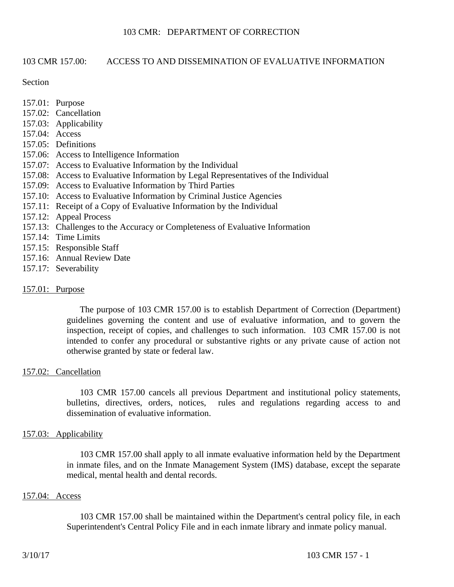# 103 CMR 157.00: ACCESS TO AND DISSEMINATION OF EVALUATIVE INFORMATION

#### Section

- 157.01: Purpose
- 157.02: Cancellation
- 157.03: Applicability
- 157.04: Access
- 157.05: Definitions
- 157.06: Access to Intelligence Information
- 157.07: Access to Evaluative Information by the Individual
- 157.08: Access to Evaluative Information by Legal Representatives of the Individual
- 157.09: Access to Evaluative Information by Third Parties
- 157.10: Access to Evaluative Information by Criminal Justice Agencies
- 157.11: Receipt of a Copy of Evaluative Information by the Individual
- 157.12: Appeal Process
- 157.13: Challenges to the Accuracy or Completeness of Evaluative Information
- 157.14: Time Limits
- 157.15: Responsible Staff
- 157.16: Annual Review Date
- 157.17: Severability

## 157.01: Purpose

The purpose of 103 CMR 157.00 is to establish Department of Correction (Department) guidelines governing the content and use of evaluative information, and to govern the inspection, receipt of copies, and challenges to such information. 103 CMR 157.00 is not intended to confer any procedural or substantive rights or any private cause of action not otherwise granted by state or federal law.

## 157.02: Cancellation

103 CMR 157.00 cancels all previous Department and institutional policy statements, bulletins, directives, orders, notices, rules and regulations regarding access to and dissemination of evaluative information.

## 157.03: Applicability

103 CMR 157.00 shall apply to all inmate evaluative information held by the Department in inmate files, and on the Inmate Management System (IMS) database, except the separate medical, mental health and dental records.

## 157.04: Access

103 CMR 157.00 shall be maintained within the Department's central policy file, in each Superintendent's Central Policy File and in each inmate library and inmate policy manual.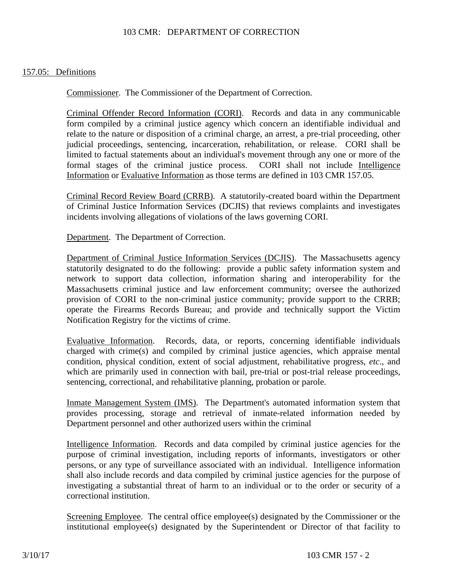### 157.05: Definitions

Commissioner. The Commissioner of the Department of Correction.

Criminal Offender Record Information (CORI). Records and data in any communicable form compiled by a criminal justice agency which concern an identifiable individual and relate to the nature or disposition of a criminal charge, an arrest, a pre-trial proceeding, other judicial proceedings, sentencing, incarceration, rehabilitation, or release. CORI shall be limited to factual statements about an individual's movement through any one or more of the formal stages of the criminal justice process. CORI shall not include Intelligence Information or Evaluative Information as those terms are defined in 103 CMR 157.05.

Criminal Record Review Board (CRRB). A statutorily-created board within the Department of Criminal Justice Information Services (DCJIS) that reviews complaints and investigates incidents involving allegations of violations of the laws governing CORI.

Department. The Department of Correction.

Department of Criminal Justice Information Services (DCJIS). The Massachusetts agency statutorily designated to do the following: provide a public safety information system and network to support data collection, information sharing and interoperability for the Massachusetts criminal justice and law enforcement community; oversee the authorized provision of CORI to the non-criminal justice community; provide support to the CRRB; operate the Firearms Records Bureau; and provide and technically support the Victim Notification Registry for the victims of crime.

Evaluative Information. Records, data, or reports, concerning identifiable individuals charged with crime(s) and compiled by criminal justice agencies, which appraise mental condition, physical condition, extent of social adjustment, rehabilitative progress, *etc*., and which are primarily used in connection with bail, pre-trial or post-trial release proceedings, sentencing, correctional, and rehabilitative planning, probation or parole.

Inmate Management System (IMS). The Department's automated information system that provides processing, storage and retrieval of inmate-related information needed by Department personnel and other authorized users within the criminal

Intelligence Information. Records and data compiled by criminal justice agencies for the purpose of criminal investigation, including reports of informants, investigators or other persons, or any type of surveillance associated with an individual. Intelligence information shall also include records and data compiled by criminal justice agencies for the purpose of investigating a substantial threat of harm to an individual or to the order or security of a correctional institution.

Screening Employee. The central office employee(s) designated by the Commissioner or the institutional employee(s) designated by the Superintendent or Director of that facility to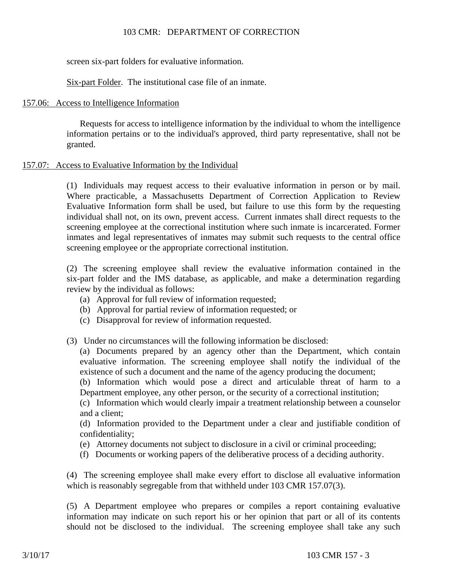screen six-part folders for evaluative information.

Six-part Folder. The institutional case file of an inmate.

## 157.06: Access to Intelligence Information

Requests for access to intelligence information by the individual to whom the intelligence information pertains or to the individual's approved, third party representative, shall not be granted.

# 157.07: Access to Evaluative Information by the Individual

(1) Individuals may request access to their evaluative information in person or by mail. Where practicable, a Massachusetts Department of Correction Application to Review Evaluative Information form shall be used, but failure to use this form by the requesting individual shall not, on its own, prevent access. Current inmates shall direct requests to the screening employee at the correctional institution where such inmate is incarcerated. Former inmates and legal representatives of inmates may submit such requests to the central office screening employee or the appropriate correctional institution.

(2) The screening employee shall review the evaluative information contained in the six-part folder and the IMS database, as applicable, and make a determination regarding review by the individual as follows:

- (a) Approval for full review of information requested;
- (b) Approval for partial review of information requested; or
- (c) Disapproval for review of information requested.
- (3) Under no circumstances will the following information be disclosed:

(a) Documents prepared by an agency other than the Department, which contain evaluative information. The screening employee shall notify the individual of the existence of such a document and the name of the agency producing the document;

(b) Information which would pose a direct and articulable threat of harm to a Department employee, any other person, or the security of a correctional institution;

(c) Information which would clearly impair a treatment relationship between a counselor and a client;

(d) Information provided to the Department under a clear and justifiable condition of confidentiality;

- (e) Attorney documents not subject to disclosure in a civil or criminal proceeding;
- (f) Documents or working papers of the deliberative process of a deciding authority.

(4) The screening employee shall make every effort to disclose all evaluative information which is reasonably segregable from that withheld under 103 CMR 157.07(3).

(5) A Department employee who prepares or compiles a report containing evaluative information may indicate on such report his or her opinion that part or all of its contents should not be disclosed to the individual. The screening employee shall take any such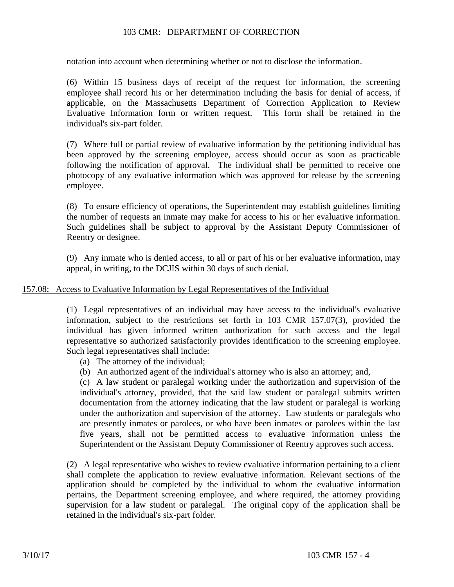notation into account when determining whether or not to disclose the information.

(6) Within 15 business days of receipt of the request for information, the screening employee shall record his or her determination including the basis for denial of access, if applicable, on the Massachusetts Department of Correction Application to Review Evaluative Information form or written request. This form shall be retained in the individual's six-part folder.

(7) Where full or partial review of evaluative information by the petitioning individual has been approved by the screening employee, access should occur as soon as practicable following the notification of approval. The individual shall be permitted to receive one photocopy of any evaluative information which was approved for release by the screening employee.

(8) To ensure efficiency of operations, the Superintendent may establish guidelines limiting the number of requests an inmate may make for access to his or her evaluative information. Such guidelines shall be subject to approval by the Assistant Deputy Commissioner of Reentry or designee.

(9) Any inmate who is denied access, to all or part of his or her evaluative information, may appeal, in writing, to the DCJIS within 30 days of such denial.

## 157.08: Access to Evaluative Information by Legal Representatives of the Individual

(1) Legal representatives of an individual may have access to the individual's evaluative information, subject to the restrictions set forth in 103 CMR 157.07(3), provided the individual has given informed written authorization for such access and the legal representative so authorized satisfactorily provides identification to the screening employee. Such legal representatives shall include:

- (a) The attorney of the individual;
- (b) An authorized agent of the individual's attorney who is also an attorney; and,

(c) A law student or paralegal working under the authorization and supervision of the individual's attorney, provided, that the said law student or paralegal submits written documentation from the attorney indicating that the law student or paralegal is working under the authorization and supervision of the attorney. Law students or paralegals who are presently inmates or parolees, or who have been inmates or parolees within the last five years, shall not be permitted access to evaluative information unless the Superintendent or the Assistant Deputy Commissioner of Reentry approves such access.

(2) A legal representative who wishes to review evaluative information pertaining to a client shall complete the application to review evaluative information. Relevant sections of the application should be completed by the individual to whom the evaluative information pertains, the Department screening employee, and where required, the attorney providing supervision for a law student or paralegal. The original copy of the application shall be retained in the individual's six-part folder.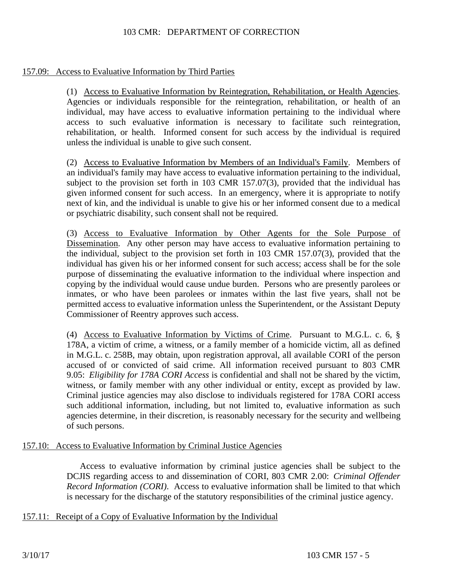# 157.09: Access to Evaluative Information by Third Parties

(1) Access to Evaluative Information by Reintegration, Rehabilitation, or Health Agencies. Agencies or individuals responsible for the reintegration, rehabilitation, or health of an individual, may have access to evaluative information pertaining to the individual where access to such evaluative information is necessary to facilitate such reintegration, rehabilitation, or health. Informed consent for such access by the individual is required unless the individual is unable to give such consent.

(2) Access to Evaluative Information by Members of an Individual's Family. Members of an individual's family may have access to evaluative information pertaining to the individual, subject to the provision set forth in 103 CMR 157.07(3), provided that the individual has given informed consent for such access. In an emergency, where it is appropriate to notify next of kin, and the individual is unable to give his or her informed consent due to a medical or psychiatric disability, such consent shall not be required.

(3) Access to Evaluative Information by Other Agents for the Sole Purpose of Dissemination. Any other person may have access to evaluative information pertaining to the individual, subject to the provision set forth in 103 CMR 157.07(3), provided that the individual has given his or her informed consent for such access; access shall be for the sole purpose of disseminating the evaluative information to the individual where inspection and copying by the individual would cause undue burden. Persons who are presently parolees or inmates, or who have been parolees or inmates within the last five years, shall not be permitted access to evaluative information unless the Superintendent, or the Assistant Deputy Commissioner of Reentry approves such access.

(4) Access to Evaluative Information by Victims of Crime. Pursuant to M.G.L. c. 6, § 178A, a victim of crime, a witness, or a family member of a homicide victim, all as defined in M.G.L. c. 258B, may obtain, upon registration approval, all available CORI of the person accused of or convicted of said crime. All information received pursuant to 803 CMR 9.05: *Eligibility for 178A CORI Access* is confidential and shall not be shared by the victim, witness, or family member with any other individual or entity, except as provided by law. Criminal justice agencies may also disclose to individuals registered for 178A CORI access such additional information, including, but not limited to, evaluative information as such agencies determine, in their discretion, is reasonably necessary for the security and wellbeing of such persons.

#### 157.10: Access to Evaluative Information by Criminal Justice Agencies

Access to evaluative information by criminal justice agencies shall be subject to the DCJIS regarding access to and dissemination of CORI, 803 CMR 2.00: *Criminal Offender Record Information (CORI)*. Access to evaluative information shall be limited to that which is necessary for the discharge of the statutory responsibilities of the criminal justice agency.

## 157.11: Receipt of a Copy of Evaluative Information by the Individual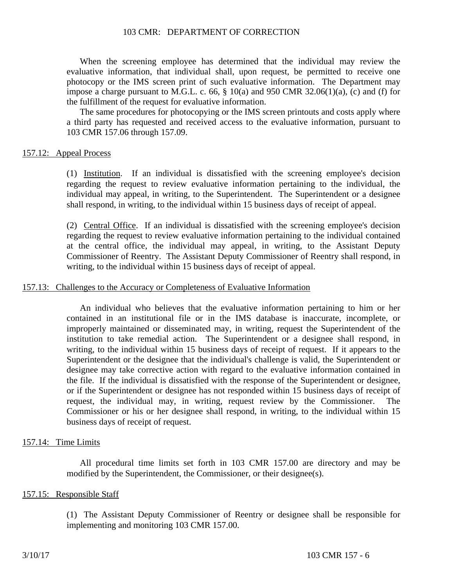When the screening employee has determined that the individual may review the evaluative information, that individual shall, upon request, be permitted to receive one photocopy or the IMS screen print of such evaluative information. The Department may impose a charge pursuant to M.G.L. c. 66,  $\S$  10(a) and 950 CMR 32.06(1)(a), (c) and (f) for the fulfillment of the request for evaluative information.

The same procedures for photocopying or the IMS screen printouts and costs apply where a third party has requested and received access to the evaluative information, pursuant to 103 CMR 157.06 through 157.09.

#### 157.12: Appeal Process

(1) Institution. If an individual is dissatisfied with the screening employee's decision regarding the request to review evaluative information pertaining to the individual, the individual may appeal, in writing, to the Superintendent. The Superintendent or a designee shall respond, in writing, to the individual within 15 business days of receipt of appeal.

(2) Central Office. If an individual is dissatisfied with the screening employee's decision regarding the request to review evaluative information pertaining to the individual contained at the central office, the individual may appeal, in writing, to the Assistant Deputy Commissioner of Reentry. The Assistant Deputy Commissioner of Reentry shall respond, in writing, to the individual within 15 business days of receipt of appeal.

#### 157.13: Challenges to the Accuracy or Completeness of Evaluative Information

An individual who believes that the evaluative information pertaining to him or her contained in an institutional file or in the IMS database is inaccurate, incomplete, or improperly maintained or disseminated may, in writing, request the Superintendent of the institution to take remedial action. The Superintendent or a designee shall respond, in writing, to the individual within 15 business days of receipt of request. If it appears to the Superintendent or the designee that the individual's challenge is valid, the Superintendent or designee may take corrective action with regard to the evaluative information contained in the file. If the individual is dissatisfied with the response of the Superintendent or designee, or if the Superintendent or designee has not responded within 15 business days of receipt of request, the individual may, in writing, request review by the Commissioner. Commissioner or his or her designee shall respond, in writing, to the individual within 15 business days of receipt of request.

#### 157.14: Time Limits

All procedural time limits set forth in 103 CMR 157.00 are directory and may be modified by the Superintendent, the Commissioner, or their designee(s).

#### 157.15: Responsible Staff

(1) The Assistant Deputy Commissioner of Reentry or designee shall be responsible for implementing and monitoring 103 CMR 157.00.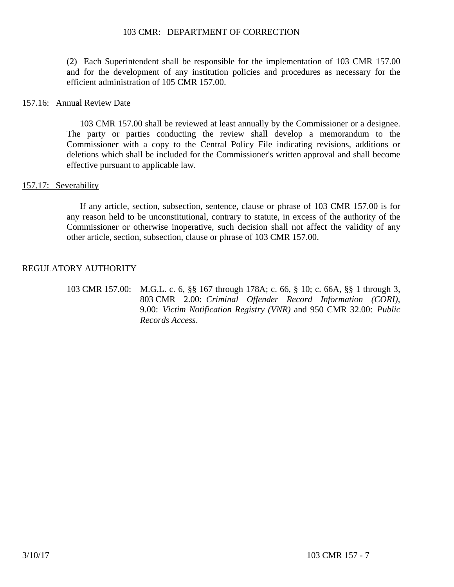(2) Each Superintendent shall be responsible for the implementation of 103 CMR 157.00 and for the development of any institution policies and procedures as necessary for the efficient administration of 105 CMR 157.00.

#### 157.16: Annual Review Date

103 CMR 157.00 shall be reviewed at least annually by the Commissioner or a designee. The party or parties conducting the review shall develop a memorandum to the Commissioner with a copy to the Central Policy File indicating revisions, additions or deletions which shall be included for the Commissioner's written approval and shall become effective pursuant to applicable law.

#### 157.17: Severability

If any article, section, subsection, sentence, clause or phrase of 103 CMR 157.00 is for any reason held to be unconstitutional, contrary to statute, in excess of the authority of the Commissioner or otherwise inoperative, such decision shall not affect the validity of any other article, section, subsection, clause or phrase of 103 CMR 157.00.

## REGULATORY AUTHORITY

103 CMR 157.00: M.G.L. c. 6, §§ 167 through 178A; c. 66, § 10; c. 66A, §§ 1 through 3, 803 CMR 2.00: *Criminal Offender Record Information (CORI)*, 9.00: *Victim Notification Registry (VNR)* and 950 CMR 32.00: *Public Records Access*.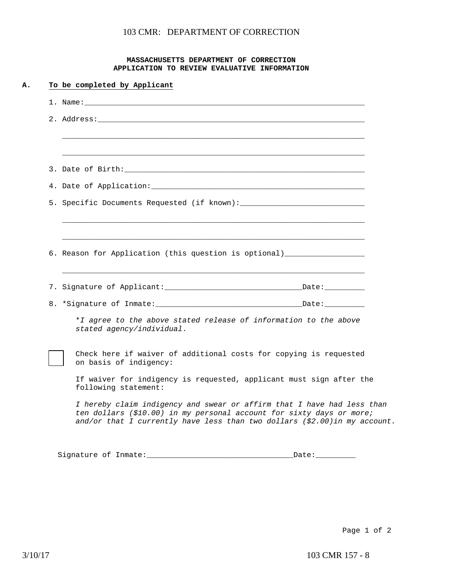#### **MASSACHUSETTS DEPARTMENT OF CORRECTION APPLICATION TO REVIEW EVALUATIVE INFORMATION**

| 2. Address: the contract of the contract of the contract of the contract of the contract of the contract of the contract of the contract of the contract of the contract of the contract of the contract of the contract of th |
|--------------------------------------------------------------------------------------------------------------------------------------------------------------------------------------------------------------------------------|
|                                                                                                                                                                                                                                |
|                                                                                                                                                                                                                                |
| 4. Date of Application: The Contract of Application:                                                                                                                                                                           |
|                                                                                                                                                                                                                                |
| 6. Reason for Application (this question is optional) __________________________                                                                                                                                               |
|                                                                                                                                                                                                                                |
|                                                                                                                                                                                                                                |
|                                                                                                                                                                                                                                |
| 8. *Signature of Inmate: Date: Date: Date:                                                                                                                                                                                     |
| *I agree to the above stated release of information to the above<br>stated agency/individual.                                                                                                                                  |
| Check here if waiver of additional costs for copying is requested<br>on basis of indigency:                                                                                                                                    |
| If waiver for indigency is requested, applicant must sign after the<br>following statement:                                                                                                                                    |
| I hereby claim indigency and swear or affirm that I have had less than<br>ten dollars (\$10.00) in my personal account for sixty days or more;<br>and/or that I currently have less than two dollars $(2.00)$ in my account.   |

Page 1 of 2